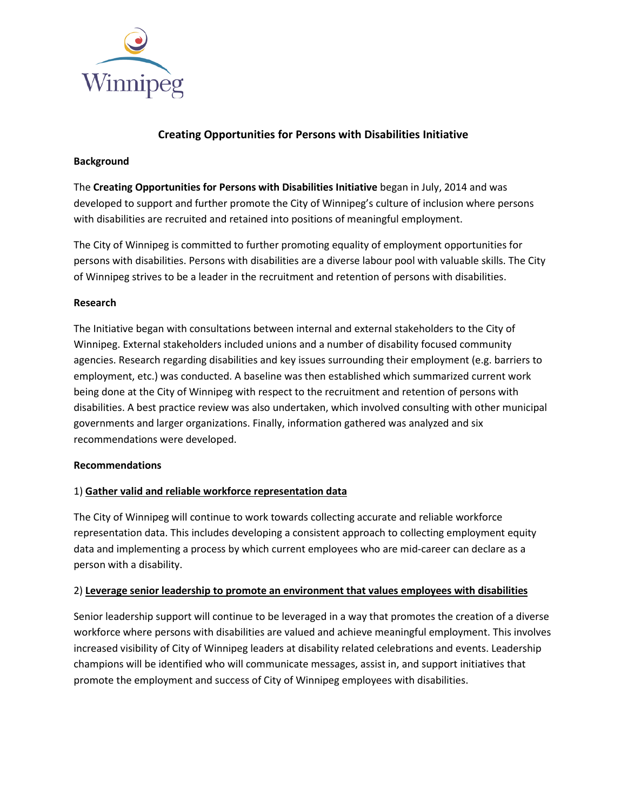

# **Creating Opportunities for Persons with Disabilities Initiative**

### **Background**

The **Creating Opportunities for Persons with Disabilities Initiative** began in July, 2014 and was developed to support and further promote the City of Winnipeg's culture of inclusion where persons with disabilities are recruited and retained into positions of meaningful employment.

The City of Winnipeg is committed to further promoting equality of employment opportunities for persons with disabilities. Persons with disabilities are a diverse labour pool with valuable skills. The City of Winnipeg strives to be a leader in the recruitment and retention of persons with disabilities.

### **Research**

The Initiative began with consultations between internal and external stakeholders to the City of Winnipeg. External stakeholders included unions and a number of disability focused community agencies. Research regarding disabilities and key issues surrounding their employment (e.g. barriers to employment, etc.) was conducted. A baseline was then established which summarized current work being done at the City of Winnipeg with respect to the recruitment and retention of persons with disabilities. A best practice review was also undertaken, which involved consulting with other municipal governments and larger organizations. Finally, information gathered was analyzed and six recommendations were developed.

#### **Recommendations**

## 1) **Gather valid and reliable workforce representation data**

The City of Winnipeg will continue to work towards collecting accurate and reliable workforce representation data. This includes developing a consistent approach to collecting employment equity data and implementing a process by which current employees who are mid-career can declare as a person with a disability.

## 2) **Leverage senior leadership to promote an environment that values employees with disabilities**

Senior leadership support will continue to be leveraged in a way that promotes the creation of a diverse workforce where persons with disabilities are valued and achieve meaningful employment. This involves increased visibility of City of Winnipeg leaders at disability related celebrations and events. Leadership champions will be identified who will communicate messages, assist in, and support initiatives that promote the employment and success of City of Winnipeg employees with disabilities.